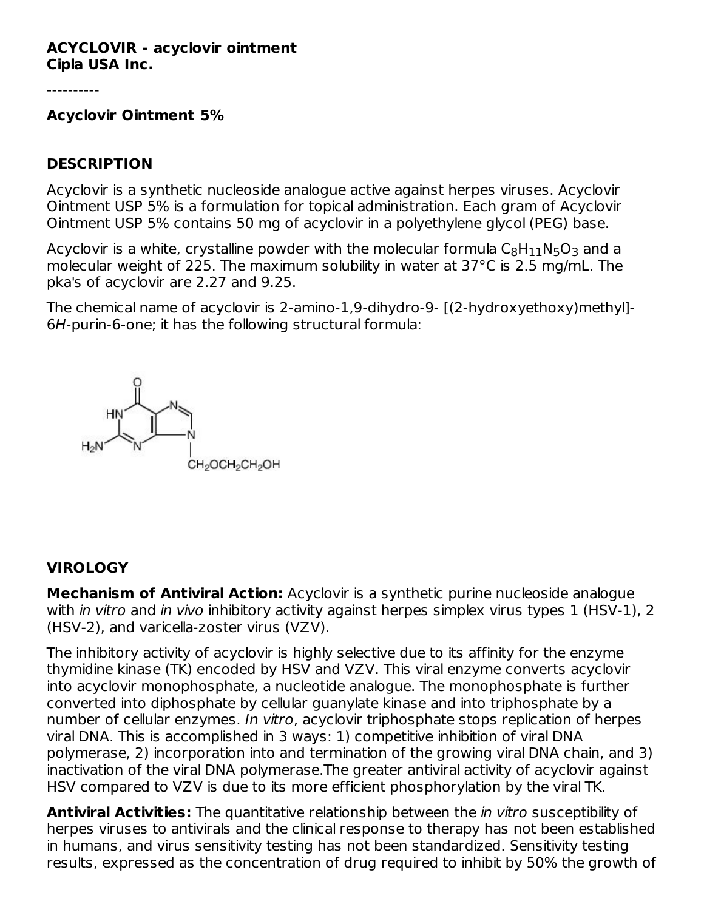#### **ACYCLOVIR - acyclovir ointment Cipla USA Inc.**

**Acyclovir Ointment 5%**

#### **DESCRIPTION**

Acyclovir is a synthetic nucleoside analogue active against herpes viruses. Acyclovir Ointment USP 5% is a formulation for topical administration. Each gram of Acyclovir Ointment USP 5% contains 50 mg of acyclovir in a polyethylene glycol (PEG) base.

Acyclovir is a white, crystalline powder with the molecular formula  $\mathsf{C}_8\mathsf{H}_{11}\mathsf{N}_5\mathsf{O}_3$  and a molecular weight of 225. The maximum solubility in water at 37°C is 2.5 mg/mL. The pka's of acyclovir are 2.27 and 9.25.

The chemical name of acyclovir is 2-amino-1,9-dihydro-9- [(2-hydroxyethoxy)methyl]- 6H-purin-6-one; it has the following structural formula:



#### **VIROLOGY**

**Mechanism of Antiviral Action:** Acyclovir is a synthetic purine nucleoside analogue with in vitro and in vivo inhibitory activity against herpes simplex virus types 1 (HSV-1), 2 (HSV-2), and varicella-zoster virus (VZV).

The inhibitory activity of acyclovir is highly selective due to its affinity for the enzyme thymidine kinase (TK) encoded by HSV and VZV. This viral enzyme converts acyclovir into acyclovir monophosphate, a nucleotide analogue. The monophosphate is further converted into diphosphate by cellular guanylate kinase and into triphosphate by a number of cellular enzymes. In vitro, acyclovir triphosphate stops replication of herpes viral DNA. This is accomplished in 3 ways: 1) competitive inhibition of viral DNA polymerase, 2) incorporation into and termination of the growing viral DNA chain, and 3) inactivation of the viral DNA polymerase.The greater antiviral activity of acyclovir against HSV compared to VZV is due to its more efficient phosphorylation by the viral TK.

**Antiviral Activities:** The quantitative relationship between the in vitro susceptibility of herpes viruses to antivirals and the clinical response to therapy has not been established in humans, and virus sensitivity testing has not been standardized. Sensitivity testing results, expressed as the concentration of drug required to inhibit by 50% the growth of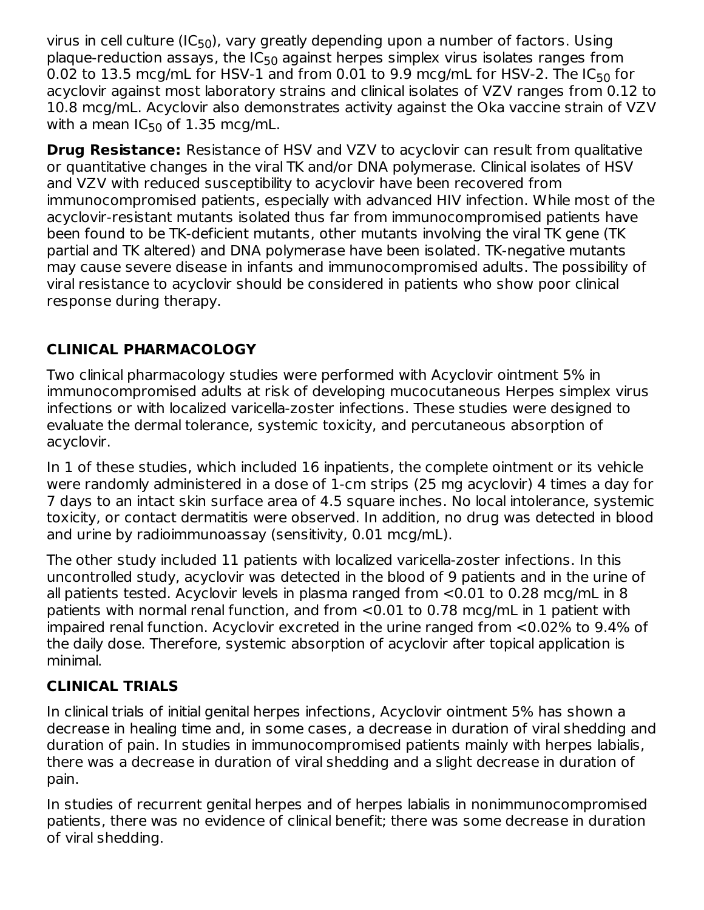virus in cell culture (IC<sub>50</sub>), vary greatly depending upon a number of factors. Using plaque-reduction assays, the IC<sub>50</sub> against herpes simplex virus isolates ranges from 0.02 to 13.5 mcg/mL for HSV-1 and from 0.01 to 9.9 mcg/mL for HSV-2. The IC $_{50}$  for acyclovir against most laboratory strains and clinical isolates of VZV ranges from 0.12 to 10.8 mcg/mL. Acyclovir also demonstrates activity against the Oka vaccine strain of VZV with a mean IC $_{50}$  of 1.35 mcg/mL.

**Drug Resistance:** Resistance of HSV and VZV to acyclovir can result from qualitative or quantitative changes in the viral TK and/or DNA polymerase. Clinical isolates of HSV and VZV with reduced susceptibility to acyclovir have been recovered from immunocompromised patients, especially with advanced HIV infection. While most of the acyclovir-resistant mutants isolated thus far from immunocompromised patients have been found to be TK-deficient mutants, other mutants involving the viral TK gene (TK partial and TK altered) and DNA polymerase have been isolated. TK-negative mutants may cause severe disease in infants and immunocompromised adults. The possibility of viral resistance to acyclovir should be considered in patients who show poor clinical response during therapy.

## **CLINICAL PHARMACOLOGY**

Two clinical pharmacology studies were performed with Acyclovir ointment 5% in immunocompromised adults at risk of developing mucocutaneous Herpes simplex virus infections or with localized varicella-zoster infections. These studies were designed to evaluate the dermal tolerance, systemic toxicity, and percutaneous absorption of acyclovir.

In 1 of these studies, which included 16 inpatients, the complete ointment or its vehicle were randomly administered in a dose of 1-cm strips (25 mg acyclovir) 4 times a day for 7 days to an intact skin surface area of 4.5 square inches. No local intolerance, systemic toxicity, or contact dermatitis were observed. In addition, no drug was detected in blood and urine by radioimmunoassay (sensitivity, 0.01 mcg/mL).

The other study included 11 patients with localized varicella-zoster infections. In this uncontrolled study, acyclovir was detected in the blood of 9 patients and in the urine of all patients tested. Acyclovir levels in plasma ranged from <0.01 to 0.28 mcg/mL in 8 patients with normal renal function, and from <0.01 to 0.78 mcg/mL in 1 patient with impaired renal function. Acyclovir excreted in the urine ranged from <0.02% to 9.4% of the daily dose. Therefore, systemic absorption of acyclovir after topical application is minimal.

### **CLINICAL TRIALS**

In clinical trials of initial genital herpes infections, Acyclovir ointment 5% has shown a decrease in healing time and, in some cases, a decrease in duration of viral shedding and duration of pain. In studies in immunocompromised patients mainly with herpes labialis, there was a decrease in duration of viral shedding and a slight decrease in duration of pain.

In studies of recurrent genital herpes and of herpes labialis in nonimmunocompromised patients, there was no evidence of clinical benefit; there was some decrease in duration of viral shedding.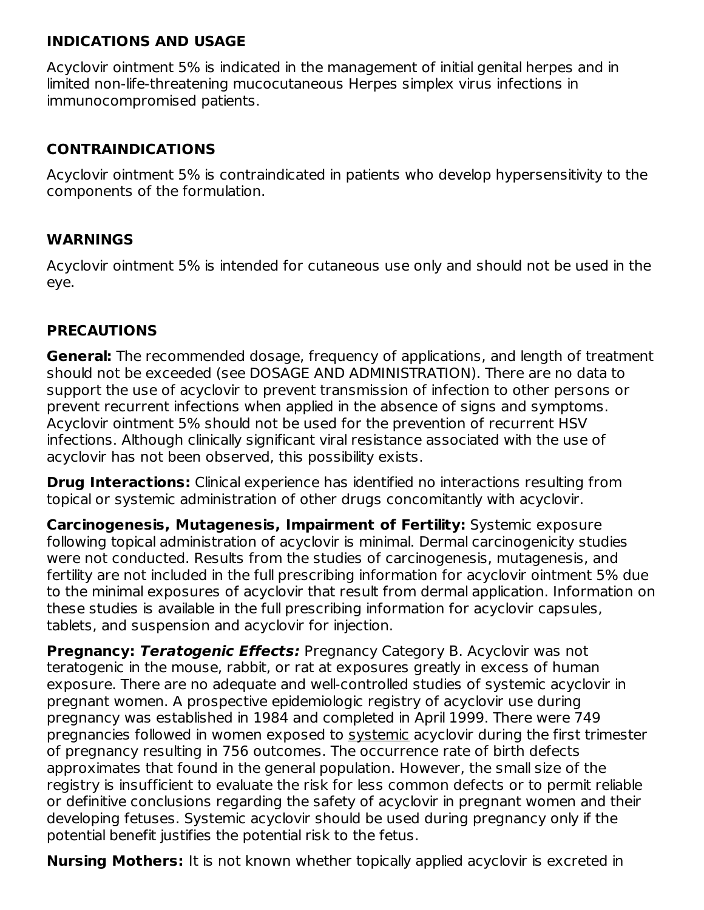#### **INDICATIONS AND USAGE**

Acyclovir ointment 5% is indicated in the management of initial genital herpes and in limited non-life-threatening mucocutaneous Herpes simplex virus infections in immunocompromised patients.

### **CONTRAINDICATIONS**

Acyclovir ointment 5% is contraindicated in patients who develop hypersensitivity to the components of the formulation.

### **WARNINGS**

Acyclovir ointment 5% is intended for cutaneous use only and should not be used in the eye.

### **PRECAUTIONS**

**General:** The recommended dosage, frequency of applications, and length of treatment should not be exceeded (see DOSAGE AND ADMINISTRATION). There are no data to support the use of acyclovir to prevent transmission of infection to other persons or prevent recurrent infections when applied in the absence of signs and symptoms. Acyclovir ointment 5% should not be used for the prevention of recurrent HSV infections. Although clinically significant viral resistance associated with the use of acyclovir has not been observed, this possibility exists.

**Drug Interactions:** Clinical experience has identified no interactions resulting from topical or systemic administration of other drugs concomitantly with acyclovir.

**Carcinogenesis, Mutagenesis, Impairment of Fertility:** Systemic exposure following topical administration of acyclovir is minimal. Dermal carcinogenicity studies were not conducted. Results from the studies of carcinogenesis, mutagenesis, and fertility are not included in the full prescribing information for acyclovir ointment 5% due to the minimal exposures of acyclovir that result from dermal application. Information on these studies is available in the full prescribing information for acyclovir capsules, tablets, and suspension and acyclovir for injection.

**Pregnancy: Teratogenic Effects:** Pregnancy Category B. Acyclovir was not teratogenic in the mouse, rabbit, or rat at exposures greatly in excess of human exposure. There are no adequate and well-controlled studies of systemic acyclovir in pregnant women. A prospective epidemiologic registry of acyclovir use during pregnancy was established in 1984 and completed in April 1999. There were 749 pregnancies followed in women exposed to systemic acyclovir during the first trimester of pregnancy resulting in 756 outcomes. The occurrence rate of birth defects approximates that found in the general population. However, the small size of the registry is insufficient to evaluate the risk for less common defects or to permit reliable or definitive conclusions regarding the safety of acyclovir in pregnant women and their developing fetuses. Systemic acyclovir should be used during pregnancy only if the potential benefit justifies the potential risk to the fetus.

**Nursing Mothers:** It is not known whether topically applied acyclovir is excreted in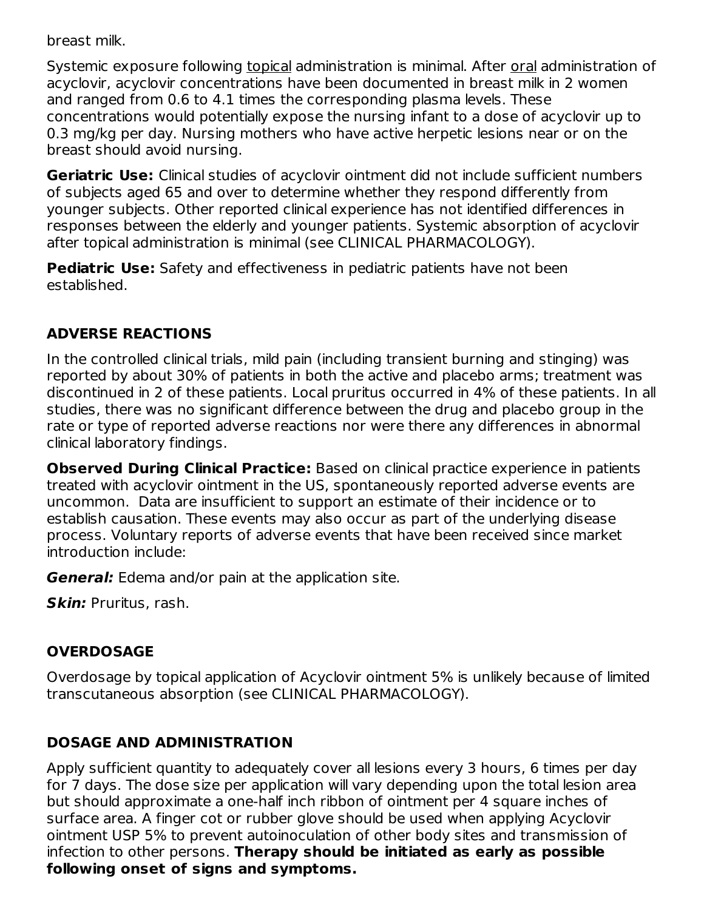breast milk.

Systemic exposure following topical administration is minimal. After oral administration of acyclovir, acyclovir concentrations have been documented in breast milk in 2 women and ranged from 0.6 to 4.1 times the corresponding plasma levels. These concentrations would potentially expose the nursing infant to a dose of acyclovir up to 0.3 mg/kg per day. Nursing mothers who have active herpetic lesions near or on the breast should avoid nursing.

**Geriatric Use:** Clinical studies of acyclovir ointment did not include sufficient numbers of subjects aged 65 and over to determine whether they respond differently from younger subjects. Other reported clinical experience has not identified differences in responses between the elderly and younger patients. Systemic absorption of acyclovir after topical administration is minimal (see CLINICAL PHARMACOLOGY).

**Pediatric Use:** Safety and effectiveness in pediatric patients have not been established.

## **ADVERSE REACTIONS**

In the controlled clinical trials, mild pain (including transient burning and stinging) was reported by about 30% of patients in both the active and placebo arms; treatment was discontinued in 2 of these patients. Local pruritus occurred in 4% of these patients. In all studies, there was no significant difference between the drug and placebo group in the rate or type of reported adverse reactions nor were there any differences in abnormal clinical laboratory findings.

**Observed During Clinical Practice:** Based on clinical practice experience in patients treated with acyclovir ointment in the US, spontaneously reported adverse events are uncommon. Data are insufficient to support an estimate of their incidence or to establish causation. These events may also occur as part of the underlying disease process. Voluntary reports of adverse events that have been received since market introduction include:

**General:** Edema and/or pain at the application site.

**Skin:** Pruritus, rash.

## **OVERDOSAGE**

Overdosage by topical application of Acyclovir ointment 5% is unlikely because of limited transcutaneous absorption (see CLINICAL PHARMACOLOGY).

### **DOSAGE AND ADMINISTRATION**

Apply sufficient quantity to adequately cover all lesions every 3 hours, 6 times per day for 7 days. The dose size per application will vary depending upon the total lesion area but should approximate a one-half inch ribbon of ointment per 4 square inches of surface area. A finger cot or rubber glove should be used when applying Acyclovir ointment USP 5% to prevent autoinoculation of other body sites and transmission of infection to other persons. **Therapy should be initiated as early as possible following onset of signs and symptoms.**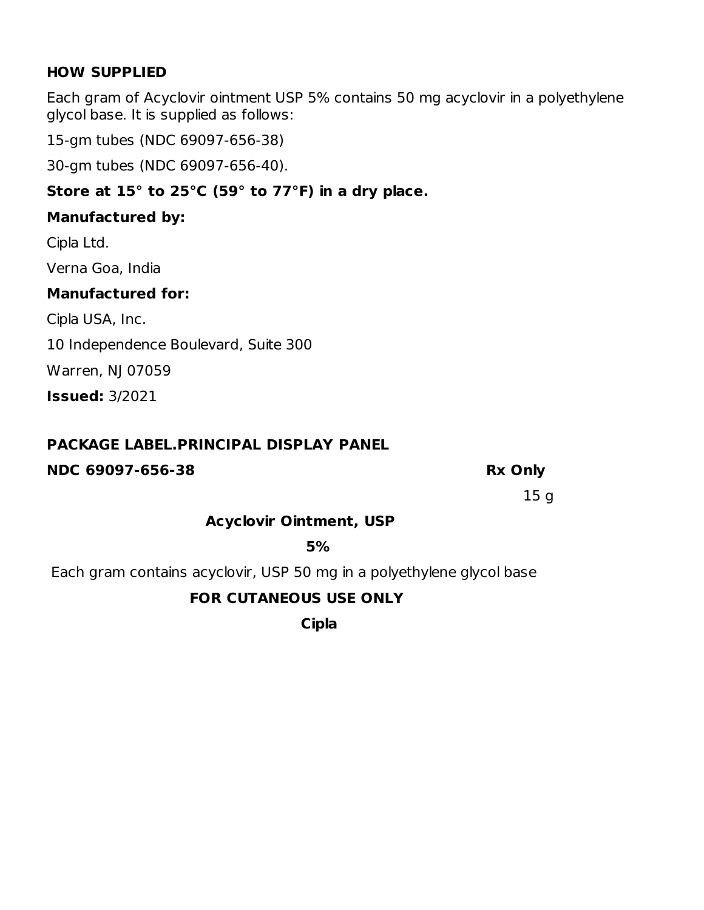#### **HOW SUPPLIED**

Each gram of Acyclovir ointment USP 5% contains 50 mg acyclovir in a polyethylene glycol base. It is supplied as follows:

15-gm tubes (NDC 69097-656-38)

30-gm tubes (NDC 69097-656-40).

## **Store at 15° to 25°C (59° to 77°F) in a dry place.**

### **Manufactured by:**

Cipla Ltd.

Verna Goa, India

### **Manufactured for:**

Cipla USA, Inc.

10 Independence Boulevard, Suite 300

Warren, NJ 07059

**Issued:** 3/2021

## **PACKAGE LABEL.PRINCIPAL DISPLAY PANEL**

## **NDC 69097-656-38 Rx Only**

15 g

## **Acyclovir Ointment, USP**

**5%**

Each gram contains acyclovir, USP 50 mg in a polyethylene glycol base

## **FOR CUTANEOUS USE ONLY**

**Cipla**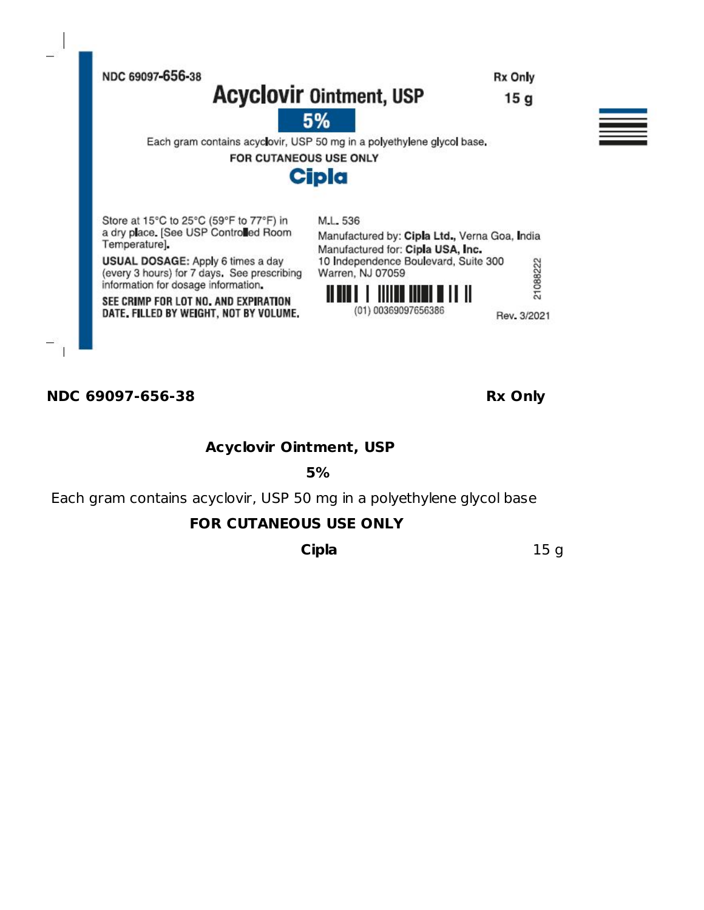

#### **NDC 69097-656-38 Rx Only**

**Acyclovir Ointment, USP**

**5%**

Each gram contains acyclovir, USP 50 mg in a polyethylene glycol base

#### **FOR CUTANEOUS USE ONLY**

**Cipla** 15 g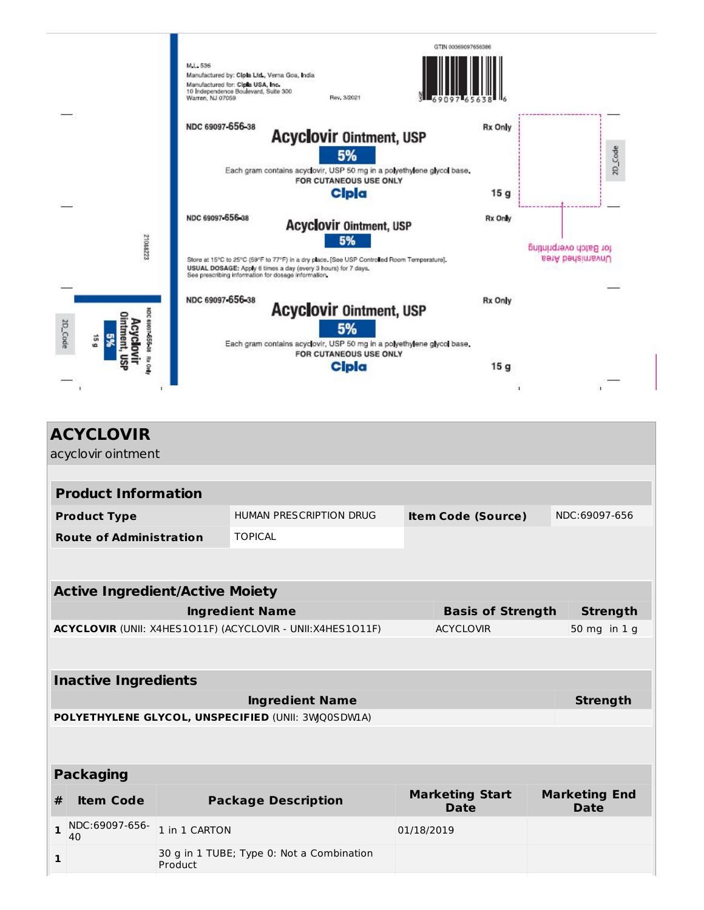

| acyclovir ointment<br><b>Product Information</b><br>HUMAN PRESCRIPTION DRUG<br><b>Product Type</b><br><b>Item Code (Source)</b><br><b>Route of Administration</b><br><b>TOPICAL</b><br><b>Active Ingredient/Active Moiety</b><br><b>Ingredient Name</b><br><b>Basis of Strength</b><br>ACYCLOVIR (UNII: X4HES1O11F) (ACYCLOVIR - UNII:X4HES1O11F)<br><b>ACYCLOVIR</b><br><b>Inactive Ingredients</b><br><b>Ingredient Name</b><br>POLYETHYLENE GLYCOL, UNSPECIFIED (UNII: 3WQ0SDW1A)<br><b>Packaging</b><br><b>Marketing End</b><br><b>Marketing Start</b><br><b>Package Description</b><br><b>Item Code</b><br>#<br><b>Date</b><br><b>Date</b> |                 |  |  |  |  |  |  |  |  |
|-------------------------------------------------------------------------------------------------------------------------------------------------------------------------------------------------------------------------------------------------------------------------------------------------------------------------------------------------------------------------------------------------------------------------------------------------------------------------------------------------------------------------------------------------------------------------------------------------------------------------------------------------|-----------------|--|--|--|--|--|--|--|--|
|                                                                                                                                                                                                                                                                                                                                                                                                                                                                                                                                                                                                                                                 |                 |  |  |  |  |  |  |  |  |
|                                                                                                                                                                                                                                                                                                                                                                                                                                                                                                                                                                                                                                                 |                 |  |  |  |  |  |  |  |  |
|                                                                                                                                                                                                                                                                                                                                                                                                                                                                                                                                                                                                                                                 |                 |  |  |  |  |  |  |  |  |
|                                                                                                                                                                                                                                                                                                                                                                                                                                                                                                                                                                                                                                                 | NDC:69097-656   |  |  |  |  |  |  |  |  |
|                                                                                                                                                                                                                                                                                                                                                                                                                                                                                                                                                                                                                                                 |                 |  |  |  |  |  |  |  |  |
|                                                                                                                                                                                                                                                                                                                                                                                                                                                                                                                                                                                                                                                 |                 |  |  |  |  |  |  |  |  |
|                                                                                                                                                                                                                                                                                                                                                                                                                                                                                                                                                                                                                                                 |                 |  |  |  |  |  |  |  |  |
|                                                                                                                                                                                                                                                                                                                                                                                                                                                                                                                                                                                                                                                 | <b>Strength</b> |  |  |  |  |  |  |  |  |
|                                                                                                                                                                                                                                                                                                                                                                                                                                                                                                                                                                                                                                                 | 50 mg in 1 g    |  |  |  |  |  |  |  |  |
|                                                                                                                                                                                                                                                                                                                                                                                                                                                                                                                                                                                                                                                 |                 |  |  |  |  |  |  |  |  |
|                                                                                                                                                                                                                                                                                                                                                                                                                                                                                                                                                                                                                                                 |                 |  |  |  |  |  |  |  |  |
|                                                                                                                                                                                                                                                                                                                                                                                                                                                                                                                                                                                                                                                 |                 |  |  |  |  |  |  |  |  |
|                                                                                                                                                                                                                                                                                                                                                                                                                                                                                                                                                                                                                                                 | <b>Strength</b> |  |  |  |  |  |  |  |  |
|                                                                                                                                                                                                                                                                                                                                                                                                                                                                                                                                                                                                                                                 |                 |  |  |  |  |  |  |  |  |
|                                                                                                                                                                                                                                                                                                                                                                                                                                                                                                                                                                                                                                                 |                 |  |  |  |  |  |  |  |  |
|                                                                                                                                                                                                                                                                                                                                                                                                                                                                                                                                                                                                                                                 |                 |  |  |  |  |  |  |  |  |
|                                                                                                                                                                                                                                                                                                                                                                                                                                                                                                                                                                                                                                                 |                 |  |  |  |  |  |  |  |  |
| NDC:69097-656-<br>$\mathbf{1}$<br>1 in 1 CARTON<br>01/18/2019<br>40                                                                                                                                                                                                                                                                                                                                                                                                                                                                                                                                                                             |                 |  |  |  |  |  |  |  |  |
| 30 g in 1 TUBE; Type 0: Not a Combination<br>1<br>Product                                                                                                                                                                                                                                                                                                                                                                                                                                                                                                                                                                                       |                 |  |  |  |  |  |  |  |  |